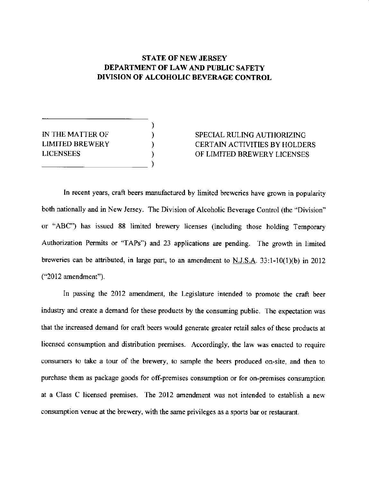## **STATE OF NEW JERSEY** DEPARTMENT OT LAW AND PUBLIC SAFETY DIVISION OF ALCOHOLIC BEVERAGE CONTROL

) ) ) ) )

| IN THE MATTER OF       |  |
|------------------------|--|
| <b>LIMITED BREWERY</b> |  |
| <b>LICENSEES</b>       |  |
|                        |  |

# SPECIAL RULING AUTHORIZING CERTAIN ACTIVITIES BY HOLDERS OF LIMITED BREWERY LICENSES

In recent years, craft beers manufactured by limited breweries have grown in popularity both nationally and in New Jersey. The Division of Alcoholic Beverage Control (the "Division" or "ABC") has issued 88 limited brewery licenses (including those holding Temporary Authorization Permits or "TAPs") and 23 applications are pending. The growth in limited breweries can be attributed, in large part, to an amendment to N.J.S.A.  $33:1-10(1)(b)$  in 2012 ("2012 amendment").

In passing the 2012 amendment, the Legislature intended to promote the craft beer industry and create a demand for these products by the consuming public. The expectation was that the increased demand for craft beers would generate greater retail sales of these products at licensed consumption and distribution premises. Accordingly, the law was enacted to require consumers to take a tour of the brewery, to sample the beers produced on-site, and then to purchase them as package goods for off-premises consumption or for on-premises consumption at a Class C licensed premises. The 2012 amendment was not intended to establish a new consumption venue at the brewery, with the same privileges as a sports bar or restaurant.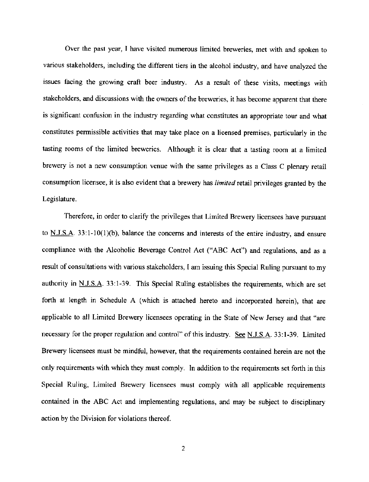Over the past year, I have visited numerous limited breweries, met with and spoken to various stakeholders, including the different tiers in the alcohol industry, and have analyzed the issues facing the growing craft beer industry. As a result of these visits, meetings with stakeholders, and discussions with the owners of the breweries, it has become apparent that there is significant confusion in the industry regarding what constitutes an appropriate tour and what constitutes permissible activities that may take place on a licensed premises, particularly in the tasting rooms of the limited breweries. Although it is clear that a tasting room at a limited brewery is not a new consumption venue with the same privileges as a Class C plenary retail consumption licensee, it is also evident that a brewery has *limited* retail privileges granted by the Legislature.

Therefore, in order to clarify the privileges that Limited Brewery licensees have pusuant to  $N.I.S.A.$  33:1-10(1)(b), balance the concerns and interests of the entire industry, and ensure compliance with the Alcoholic Beverage Control Act ("ABC Act") and regulations, and as a result of consultations with various stakeholders, I am issuing this Special Ruling pursuant to my authority in N.J.S.A. 33:l-39. This Special Ruling establishes the requirements, which are set forth at length in Schedule A (which is attached hereto and incorporated herein), thar are applicable to all Limited Brewery licensees operating in the State of New Jersey and that "are necessary for the proper regulation and control" of this industry. See N.J.S.A. 33:1-39. Limited Brewery licensees must be mindful, however, that the requirements contained herein are not the only requirements with which they must comply. In addition to the requirements set forth in this Special Ruling, Limited Brewery licensees must comply with all applicable requirements contained in the ABC Act and implementing regulations, and may be subject to disciplinary action by the Division for violations thereof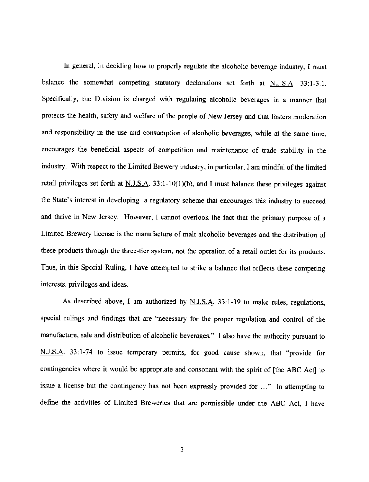In general, in deciding how to properly regulate the alcoholic beverage industry, I must balance the somewhat competing statutory declarations set forth at  $N.J.S.A.$  33:1-3.1. Specifically, the Division is charged with regulating alcoholic beverages in a manner that protects the health, safety and welfare of the people of New Jersey and that fosters moderation and responsibility in the use and consumption of alcoholic beverages, while at the same time, encourages the beneficial aspects of competition and maintenance of trade stability in the industry. With respect to the Limited Brewery industry, in particular, I am mindful of the limited retail privileges set forth at  $N.J.S.A.$  33:1-10(1)(b), and I must balance these privileges against the State's interest in developing a regulatory scheme that encourages this industry to succeed and thrive in New Jersey. However, I cannot overlook the fact that the primary purpose of a Limited Brewery Iicense is the manufacture of malt alcoholic beverages and the distribution of these products through the three-tier system, not the operation of a retail outlet for its products. Thus, in this Special Ruling, I have attempted to srrike a balance that reflects these competing interests, privileges and ideas.

As described above, I am authorized by N.J.S.A. 33:1-39 to make rules, regulations, special rulings and findings that are "necessary for the proper regulation and control of the manufacture, sale and distribution of alcoholic beverages." I also have the authority pursuant to N.J.S.A. 33:1-74 to issue temporary permits, for good cause shown, that "provide for contingencies where it would be appropriate and consonant with the spirit of [the ABC Act] to issue a license but the contingency has not been expressly provided for ..." In attempting to define the activities of Limited Breweries that are permissible under the ABC Act, I have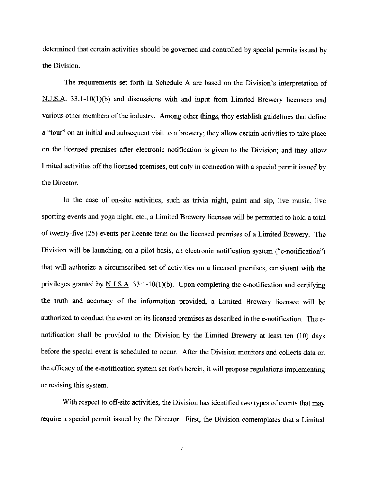determined that certain activities should be govemed and controlled by special permits issued by the Division.

The requirements set forth in Schedule A are based on the Division's interpretation of N.J.S.A. 33:1-10(1)(b) and discussions with and input from Limited Brewery licensees and various other members of the industry. Among other things, they establish guidelines that define a "tour" on an initial and subsequent visit to a brewery; they allow certain activities to take place on the licensed premises after electronic notification is given to the Division; and they allow limited activities off the licensed premises, but only in connection with a special permit issued by the Director.

In the case of on-site activities, such as trivia night, paint and sip, live music, live sporting events and yoga night, etc., a Limited Brewery licensee will be permitted to hold a total of twenty-five (25) events per license term on the licensed premises of a Limited Brewery. The Division will be launching, on a pilot basis, an electronic notification system ("e-notification") that will authorize a circumscribed set of activities on a licensed premises, consistent with the privileges granted by  $N_{1}$ ,  $N_{2}$ ,  $33:1-10(1)(b)$ . Upon completing the e-notification and certifying the truth and accuracy of the information provided, a Limited Brewery licensee will be authorized to conduct the event on its licensed premises as described in the e-notification. The enotification shall be provided to the Division by the Limited Brcwery at least ten (10) days before the special event is scheduled to occur. After the Division monitors and collects data on the efficacy of the e-notification system set forth herein, it will propose regulations implementing or revising this system.

With respect to off-site activities, the Division has identified two types of events that may require a special permit issued by the Director. First, the Division contemplates that a Limited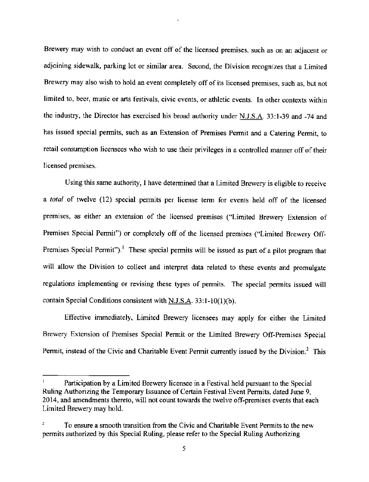Brewery may wish to conduct an event off of the licensed premises, such as on an adjacent or adjoining sidewalk, parking lot or similar area. Second, the Division recognizes that a Limited Brewery may also wish to hold an event completely off of its licensed premises, such as, but not limited to, beer, music or arts festivals, civic events, or athletic events. In other contexts within the industry, the Director has exercised his broad authority under N.J.S.A. 33:1-39 and -74 and has issued special permits, such as an Extension of Premises Permit and a Catering Permit, to retail consumption licensees who wish to use their privileges in a controlled manner off of their Iicensed premises.

Using this same authority, I have determined that a Limited Brewery is eligible to receive a total of twelve (12) special permits per license term for events held off of the licensed premises, as either an extension of the licensed premises ("Limited Brewery Extension of Premises Special Permit") or completely off of the licensed premises ("Limited Brewery Off-Premises Special Permit").<sup>1</sup> These special permits will be issued as part of a pilot program that will allow the Division to collect and interpret data related to these events and promulgate regulations implementing or revising these types of permits. The special permits issued will contain Special Conditions consistent with  $N.J.S.A.$  33:1-10(1)(b).

Effective immediately, Limited Brewery licensees may apply for either the Limited Brewery Extension of Premises Special Permit or the Limited Brewery Off-Premises Special Permit, instead of the Civic and Charitable Event Permit currently issued by the Division.<sup>2</sup> This

Participation by a Limited Brewery licensee in a Festival held pursuant to the Special Ruling Authorizing the Temporary Issuance of Certain Festival Event Permits, dated June 9, 2014, and amendments thereto, will not count towards the twelve off-premises events that each Limited Brewery may hold.

 $\overline{a}$  To ensure a smooth transition from the Civic and Charitable Event Permits to the new permits authorized by this Special Ruling, please refer to the Special Ruling Authorizing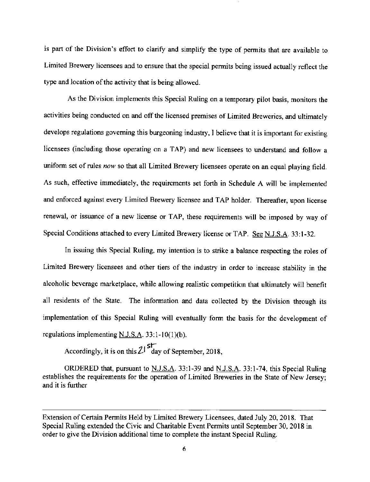is part of the Division's effort to clarify and simplify the type of permits that are available to Limited Brewery licensees and to ensure that the special pemits being issued actually reflect the type and location of the activity that is being allowed.

As the Division implements this Special Ruling on a temporary pilot basis, monitors the activities being conducted on and off the licensed premises of Limited Breweries, and ultimately develops regulations goveming this burgeoning industry, I bclieve that it is important for existing licensees (including those operating on a TAP) and new licensees to understand and follow a uniform set of rules now so that all Limited Brewery licensees operate on an equal playing field. As such, effective immediately, the requirements set forth in Schedule A will be implemented and enforced against every Limited Brewery licensee and TAP holder. Thereafter, upon license renewal, or issuance of a new license or TAP, these requirements will be imposed by way of Special Conditions attached to every Limited Brewery license or TAP. See N.J.S.A. 33:1-32.

In issuing this Special Ruling, my intention is to strike a balance respecting the roles of Limited Brewery licensees and other tiers of the industry in order to increase stability in the alcoholic beverage marketplace, while allowing realistic competition that ultimately will benefit all residents of the State. The information and data collected by the Division through its implementation of this Special Ruling will eventually form the basis for the development of regulations implementing N.J.S.A.  $33:1-10(1)(b)$ .

Accordingly, it is on this  $2I<sup>str</sup>$  day of September, 2018.

ORDERED that, pursuant to  $N.J.S.A.$  33:1-39 and N.J.S.A. 33:1-74, this Special Ruling establishes the requirements for the operation of Limited Breweries in the State of New Jersey; and it is further

Extension of Certain Permits Held by Limited Brewery Licensees, dated July 20, 2018. That Special Ruling extended the Civic and Charitable Event Permits until September 30, 2018 in order to give the Division additional time to complete the instant Special Ruling.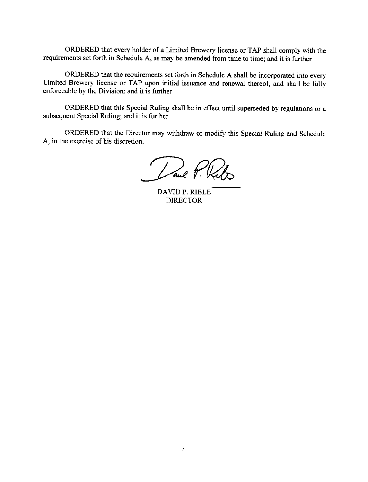ORDERED that every holder of a Limited Brewery license or TAP shall comply with the requirements set forth in Schedule A, as may be amended from time to time; and it is further

ORDERED that the requirements set forth in Schedule A shall be incorporated into every Limited Brewery license or TAP upon initial issuance and renewal thereof, and shall be fully enforceable by the Division; and it is further

ORDERED that this Special Ruling shall be in effect until superseded by regulations or <sup>a</sup> subsequent Special Ruling; and it is further

ORDERED that the Director may withdraw or modify this Special Ruling and Schedule A, in the exercise of his discretion.

Lane P. Kal

DAVID P, RIBLE DIRECTOR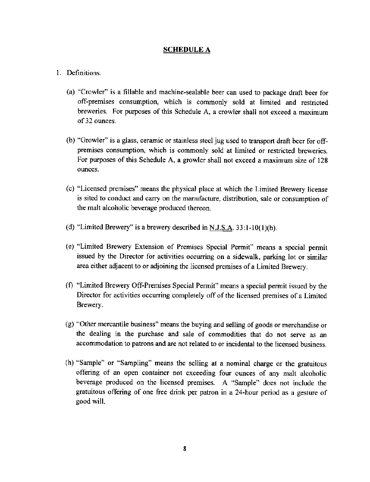#### SCHEDULE A

#### L Definitions

- (a) "Crowler" is a fillable and machine-sealable beer can used to package draft beer for off-premises consumption, which is commonly sold at limited and restricted breweries. For purposes of this Schedule A, a crowler shall not exceed a maximum of32 ounces.
- (b) "Growler" is a glass, ceramic or stainless steel jug used to transport draft beer for offpremises consumption, which is commonly sold at limited or restricted breweries. For purposes of this Schedule A, a growler shall not exceed a maximum size of 128 ounces,
- (c) "Licensed premises" means the physical place at which the Limited Brewery license is sited to conduct and carry on the manufacture, distribution, sale or consumption of the malt alcoholic beverage produced thereon.
- (d) "Limited Brewery" is a brewery described in N.J.S.A.  $33:1-10(1)(b)$ .
- (e) "Limited Brewery Extension of Premises Special Permit" means a special permit issued by the Director for activities occurring on a sideualk, parking lot or similar area either adjacent to or adjoining the licensed premises of a Limited Brewery.
- (f) "Limited Brewery Off-Premises Special Permit" means a special permit issued by the Director for activities occurring completely off of the licensed premises of a Limited Brewery.
- $(g)$  "Other mercantile business" means the buying and selling of goods or merchandise or the dealing in the purchase and sale of commodities that do not serve as an accommodation to patrons and are not related to or incidental to the licensed business.
- (h) "Sample" or "Sampling" means the selling at a nominal charge or the gratuitous offering of an open container not exceeding four ounces of any malt alcoholic beverage produced on the licensed premises. A "Sample" does not include the gratuitous offering of one free drink per patron in a 24-hour period as a gesture of good will.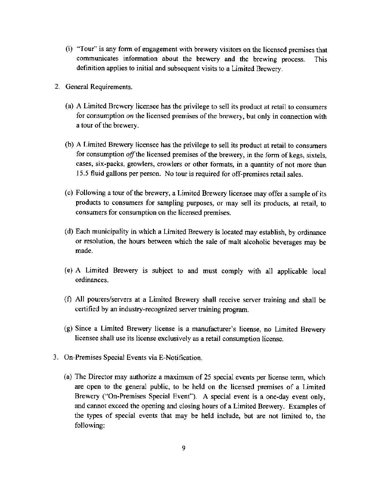- (i) "Tour" is any form of engagement with brewery visitors on the licensed premises that communicates information about the brewery and the brewing process. This definition applies to initial and subsequent visits to a Limited Brewery.
- 2. General Requirements
	- (a) A Limited Brewery licensee has the privilege to sell its product at retail to consumers for consumption on the licensed premises of the brewery, but only in connection with a tour of the brewery.
	- (b) A Limited Brewery licensee has the privilege to sell its product at retail to consumers for consumption off the licensed premises of the brewery, in the form of kegs, sixtels, cases, six-packs, growlers, crowlers or other formats, in a quantity of not more than 15.5 fluid gallons per person. No tour is required for off-premises retail sales.
	- (c) Following a tour of the brewery, a Limited Brewery licensee may offer a sample of its products to consumers for sampling puposes, or may sell its products, at retail, to consumers for consumption on the licensed premises.
	- (d) Each municipality in which a Limited Brewery is located may establish, by ordinance or resolution, the hours between which the sale of malt alcoholic beverages may be made.
	- (e) A Limited Brewery is subject to and must comply with all applicable local ordinances.
	- (f) All pourers/servers at a Limited Brewery shall receive server training and shall be certified by an industry-recognized server training program.
	- (g) Since a Limited Brewery license is a manufacturet's license, no Limited Brewery licensee shall use its license exclusively as a rctail consumption license.
- 3. On-Premises Special Events via E-Notification.
	- (a) The Director may authorize a maximum of 25 special events per license term, which are open to the general public, to be held on the licensed premises of a Limited Brewery ("On-Premises Special Event"). A special event is a one-day event only, and cannot exceed the opening and closing hours of a Limited Brewery. Examples of the rypes of special events that may be held include, but are not limited to, the following: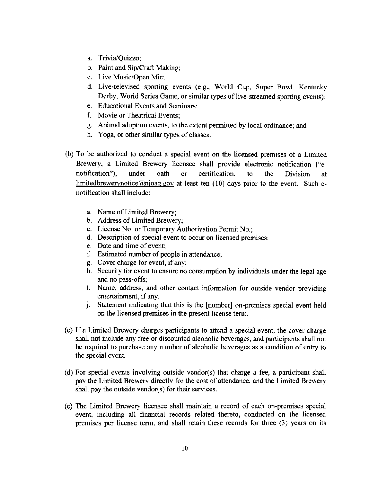- a. Trivia/Quizzo;
- b. Paint and Sip/Craft Making;
- c. Live Music/Open Mic;
- d. Live-lelevised sporting events (e.g., Wotld Cup, Super Bowl, Kentucky Derby, World Series Game, or similar types of live-streamed sporting events);
- e. Educational Events and Seminars;
- f. Movie or Theatrical Events;
- g. Animal adoption events, to the extent permitted by local ordinance; and
- h. Yoga, or other similar types of classes.
- (b) To be authorized to conduct a special event on the licensed premises of a Limited Brewery, a Limited Brewery licensee shall provide electronic notification ("enotification"), under oath or cenification, to the Division at limitedbrewerynotice@njoag.gov at least ten  $(10)$  days prior to the event. Such enotification shall include:
	- a. Name of Limited Brewery;
	- b. Address of Limited Brewery;
	- c. License No. or Temporary Authorization Permit No.;
	- d. Description of special event to occur on licensed premises;
	- e. Date and time of event:
	- f. Estimated number of people in attendance;
	- g. Cover charge for event, ifany;
	- h. Security for event to ensue no consumption by individuals under the legal age and no pass-offs;
	- i. Name, address, and other contact information for outside vendor providing
	- j. Statement indicating that this is the [number] on-premises special event held on the licensed premises in the present license term.
- (c) If a Limired Brewery charges participants to attend a special event, the cover charge shall not include any fiee or discounted alcoholic beverages, and participants shall not be required to purchase any number of alcoholic beverages as a condition of entry to the special event.
- (d) For special events involving outside vendor(s) that charge a fee, a participant shall pay the Limited Brewery directly for the cost of attendance, and the Limited Brewery shall pay the outside vendor(s) for their services.
- (e) The Limited Brewery licensee shall maintain a record of each on-premises special event, including all financial records related thereto, conducted on the licensed premises per license term, and shall retain these records for three  $(3)$  years on its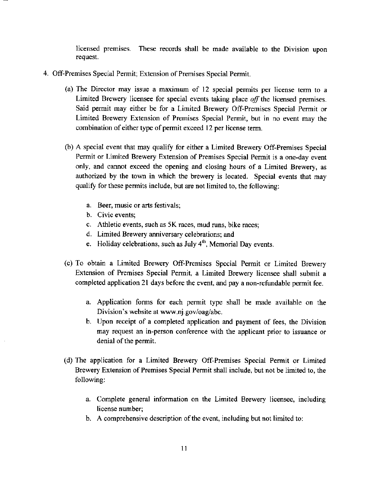Iicensed premises. These records shall be made available to the Division upon request.

- 4. Off-Premises Special Permit; Extension of Premises Special Permit.
	- (a) The Director may issue a maximum of  $12$  special permits per license term to a Limited Brewery licensee for special events taking place  $\partial f$  the licensed premises. Said permit may either be for a Limited Brewery Off-Premises Special Permit or Limited Brewery Extension of Premises Special Permit, but in no event may the combination of either type of permit exceed 12 per license term.
	- (b) A special event that may qualify for either a Limited Brewery Off-Premises Special Pemit or Limited Brewery Extension of Premises Special Pemit is a one-day event only, and cannot exceed the opening and closing hours of a Limited Brewery, as authorized by the town in which the brewery is located. Special events that may qualify for these permits include, but are not limited to, the following:
		- a. Beer, music or arts festivals;
		- b. Civic events;
		- c. Athletic events, such as 5K mces, mud runs, bike races;
		- d. Limited Brewery anniversary celebrations: and
		- e. Holiday celebrations, such as July  $4<sup>th</sup>$ , Memorial Day events.
	- (c) To obtain a Limited Brewery Off-Premises Special Permit or Limited Brewery Extension of Premises Special Permit, a Limited Brewery licensee shall submit <sup>a</sup> completed application 21 days before the event, and pay a non-refundable permit fee.
		- a. Application forms for each permit type shall be made available on the Division's website at www.nj.gov/oag/abc.
		- b. Upon receipt of a completed application and payment of fees, the Division may request an in-person conference with the applicanr prior to issuance or denial of the permit.
	- (d) The application for a Limited Brewery Off-Premises Special Permit or Limited Brewery Extension of Premises Special Permit shall include, but not be limited to, the following:
		- a. Complete general information on the Limited Brewery licensee, including license number;
		- b. A comprehensive description of the event, including but not limited to: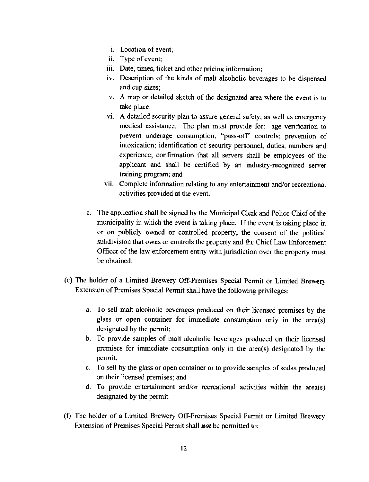- i. Location of event;
- ii Type ofevent;
- iii. Date, times, ticket and other pricing information
- iv Description of the kinds of malt alcoholic beverages to be dispensed and cup sizes;
- A map or detailed sketch of the designated area where the event is to take place;
- A detailed security plan to assure general safety, as well as emergency medical assistance. The plan must provide for: age verification to prevent underage consumption; "pass-off" controls; prevention of intoxication; identification of security personnel, duties, numbers and experience; confirmation that all servers shall be employees of the applicant and shall be certified by an industry-recognized server training program; and
- vii. Complete information relating to any entertainment and/or recreational activities provided at the event.
- c. The application shall be signed by the Municipal Clerk and Police Chiefof the municipality in which the event is taking place. If the event is taking place in or on publicly owned or controlled property, the consent of the political subdivision that owns or controls the property and the Chief Law Enforcement Officer of the law enforcement entity with jurisdiction over the property must be obtained.
- (e) The holder of a Limited Brewery Off-Premises Special Permit or Limited Brewery Extension of Premises Special Permit shall have the following privileges:
	- a. To sell malt alcoholic beverages produced on their licensed premises by the glass or open container for immediate consumption only in the area(s) designated by the permit;
	- b. To provide samples of malt alcoholic beverages produced on their licensed premises for immediate consumption only in the area(s) designated by the permit;
	- c. To sell by the glass or open container or to provide samples of sodas produced on their licensed premises; and
	- d. To provide entertainment and/or recreational activities within the area(s) designated by the permit.
- (f) The holder of a Limited Brewery Off-Premises Special Permit or Limited Brewery Extension of Premises Special Permit shall **not** be permitted to: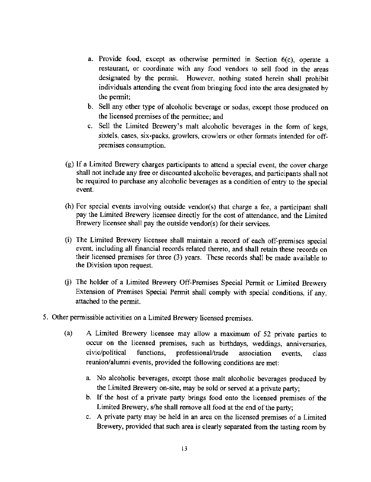- a. Provide food, except as otherwise permitted in Section 6(c), operate <sup>a</sup> restaurant, or coordinate with any food vendors to sell food in the areas designated by the permit. However, nothing stated herein shall prohibit individuals attending the event from bringing food into the area designated by the permit;
- b. Sell any other type of alcoholic beverage or sodas, except those produced on the licensed premises of the permittee; and
- c. Sell the Limited Brewery's malt alcoholic beverages in the form of kegs, sixtels, cases, six-packs, growlers, crowlers or other formats intended for offpremises consurnption.
- (g) If a Limited Brewery charges participants to attend a special event, the cover charge shall not include any free or discounted alcoholic beverages, and participants shall not be required to purchase any alcoholic beverages as a condition of entry to the special event,
- (h) For special events involving outside vendor(s) that charge a fee, a participant shall pay the Limired Brewery licensee directly for the cost of attendance, and the Limired Brewery licensee shall pay the outside vendor(s) for their services.
- (i) The Limited Brewery licensee shall maintain a record of each off-premises special event, including all financial records related thereto, and shall retain these records on their licensed premises for three (3) years. These records shall be made available to the Division upon request.
- (j) The holder of a Limited Brewery Off-Premises Special Permit or Limited Brewery Extension of Premises Special Permit shall comply with special conditions, if any, attached to the permit.
- 5. Other permissible activities on a Limited Brewery licensed premises
	- (a) A Limited Brewery licensee may allow a maximum of 52 private parties to occur on the licensed premises, such as birthdays, weddings, anniversaries, civic/political functions, professional/trade association events, class reunior/alumni events, provided the following conditions are met:
		- a. No alcoholic beverages, except those malt alcoholic beverages produced by the Limited Brewery on-site, may be sold or served at a private party;
		- b. If the host of a private pany brings food onto the licensed premises of the Limited Brewery, s/he shall remove all food at the end of the party;
		- c. A private party may be held in an area on the licensed premises of a Limited Brewery, provided that such area is clearly separated from the tasting room by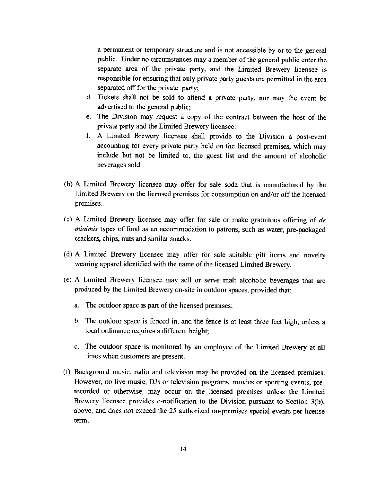a permanent or temporary structure and is not accessible by or to the general public. Under no circumstances may a member of the general public enter the separate area of the private party, and the Limited Brewery licensee is responsible for ensuring that only private party guests are permitted in the area separated off for the private party;

- d. Tickets shall not be sold to aftend a private parry, nor may the event be advertised to the general public;
- e. The Division may request a copy of the contract between the host of the private party and the Limited Brewery licensee;
- f. A Limited Brewery licensee shall provide to the Division a post-event accounting for every private party held on the licensed premises, which may include but not be limited to, the guest list and the amount of alcoholic beverages sold.
- (b) A Limited Brewery licensee may offer for sale soda thar is manufactured by the Limited Brewery on the licensed premises for consumption on and/or off the licensed premises.
- (c) A Limited Brewery licensee may offer for sale or make gratuitous offering of  $de$ minimis types of food as an accommodation to patrons, such as water, pre-packaged crackers, chips, nuts and similar snacks.
- (d) A Limited Brewery licensee may offer for sale suitable gift items and novelty wearing apparel identified with the name of the licensed Limited Brewery.
- (e) A Limited Brewery licensee may sell or serve malt alcoholic beverages that are produced by the Limited Brewery on-site in outdoor spaces, provided that:
	- a. The outdoor space is part of the licensed premises;
	- b. The outdoor space is fenced in, and the fence is at least three feet high, unless a local ordinance requires a different height;
	- c. The outdoor space is monitored by an employee of the Limited Brewery at all times when customers are present.
- (f) Background music, radio and television may be provided on the licensed premises. However, no live music, DJs or television programs, movies or sporting events, prerecorded or otherwise, may occur on the licensed premises unless the Limited Brewery licensee provides e-notification to the Division pursuant to Section 3(b), above, and does not exceed the 25 authorized on-premises special events per license term.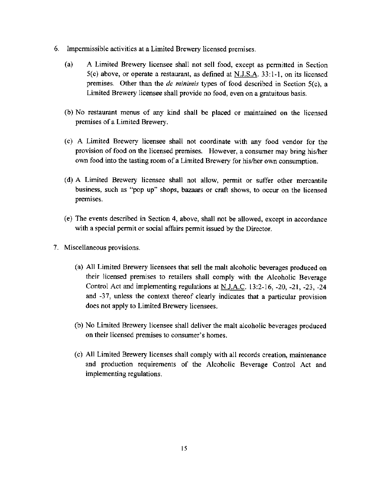- 6. Impermissible activities at a Limited Brewery licensed premises
	- (a) A Limited Brewery licensee shall not sell food, except as permifted in Section 5(c) above, or operate a restaurant, as defined at  $N.J.S.A.$  33:1-1, on its licensed premises. Other than the *de minimis* types of food described in Section  $5(c)$ , a Limited Brewery licensee shall provide no food, even on a gratuitous basis.
	- (b) No restaurant menus of any kind shall be placed or maintained on the licensed premises of a Limited Brewery.
	- (c) A Limited Brewery licensee shall not coordinate with any food vendor for the provision of food on the licensed premises. However, a consumer may bring his/her own food into the tasting room of a Limited Brewery for his/her own consumption.
	- (d) A Limiled Brewery licensee shall not allow, permit or suffer other mercantile business, such as "pop up' shops, bazaars or craft shows, to occur on the licensed premises.
	- (e) The events described in Secrion 4, above, shall not be allowed, except in accordance with a special permit or social affairs permit issued by the Director.
- 7. Miscellaneous provisions.
	- (a) All Limited Brewery licensees that sell the malt alcoholic beverages produced on their licensed premises to retailers shall comply with the Alcoholic Beverage Control Act and implementing regulations at  $N_{1}$ , A.C. 13:2-16, -20, -21, -23, -24 and -37, unless the context thereof clearly indicates that a particular provision does not apply to Limited Brewery licensees.
	- (b) No Limited Brewery licensee shall deliver the malt alcoholic beverages produced on their licensed premises to consumet's homes.
	- (c) All Limited Brewery licenses shall comply with all records creation, maintenance and production requirements of the Alcoholic Beverage Control Act and implementing regulations.